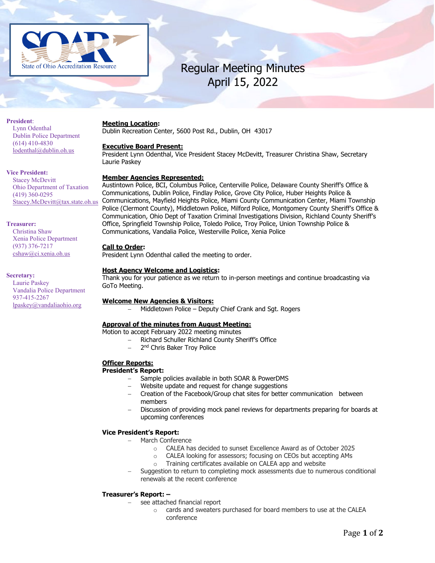

# Regular Meeting Minutes April 15, 2022

### **President**:

Lynn Odenthal Dublin Police Department (614) 410-4830 [lodenthal@dublin.oh.us](mailto:lodenthal@dublin.oh.us)

### **Vice President:**

Stacey McDevitt Ohio Department of Taxation (419) 360-0295 [Stacey.McDevitt@tax.state.oh.us](mailto:Stacey.McDevitt@tax.state.oh.us)

## **Treasurer:**

Christina Shaw Xenia Police Department (937) 376-7217 cshaw@ci.xenia.oh.us

### **Secretary:**

Laurie Paskey Vandalia Police Department 937-415-2267 [lpaskey@vandaliaohio.org](mailto:lpaskey@vandaliaohio.org)

### **Meeting Location:**

Dublin Recreation Center, 5600 Post Rd., Dublin, OH 43017

# **Executive Board Present:**

President Lynn Odenthal, Vice President Stacey McDevitt, Treasurer Christina Shaw, Secretary Laurie Paskey

# **Member Agencies Represented:**

Austintown Police, BCI, Columbus Police, Centerville Police, Delaware County Sheriff's Office & Communications, Dublin Police, Findlay Police, Grove City Police, Huber Heights Police & Communications, Mayfield Heights Police, Miami County Communication Center, Miami Township Police (Clermont County), Middletown Police, Milford Police, Montgomery County Sheriff's Office & Communication, Ohio Dept of Taxation Criminal Investigations Division, Richland County Sheriff's Office, Springfield Township Police, Toledo Police, Troy Police, Union Township Police & Communications, Vandalia Police, Westerville Police, Xenia Police

# **Call to Order:**

President Lynn Odenthal called the meeting to order.

# **Host Agency Welcome and Logistics:**

Thank you for your patience as we return to in-person meetings and continue broadcasting via GoTo Meeting.

# **Welcome New Agencies & Visitors:**

− Middletown Police – Deputy Chief Crank and Sgt. Rogers

# **Approval of the minutes from August Meeting:**

Motion to accept February 2022 meeting minutes

- − Richard Schuller Richland County Sheriff's Office
- 2<sup>nd</sup> Chris Baker Troy Police

# **Officer Reports:**

# **President's Report:**

- − Sample policies available in both SOAR & PowerDMS
- − Website update and request for change suggestions
- − Creation of the Facebook/Group chat sites for better communication between members
- − Discussion of providing mock panel reviews for departments preparing for boards at upcoming conferences

# **Vice President's Report:**

- − March Conference
	- $\circ$  CALEA has decided to sunset Excellence Award as of October 2025<br> $\circ$  CALEA looking for assessors: focusing on CEOs but accenting AMs
	- CALEA looking for assessors; focusing on CEOs but accepting AMs
	- o Training certificates available on CALEA app and website
- Suggestion to return to completing mock assessments due to numerous conditional renewals at the recent conference

# **Treasurer's Report: –**

- − see attached financial report
	- $\circ$  cards and sweaters purchased for board members to use at the CALEA conference